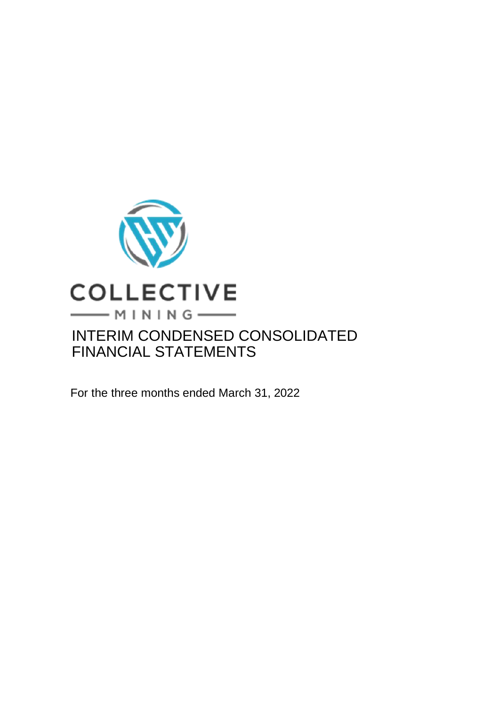

For the three months ended March 31, 2022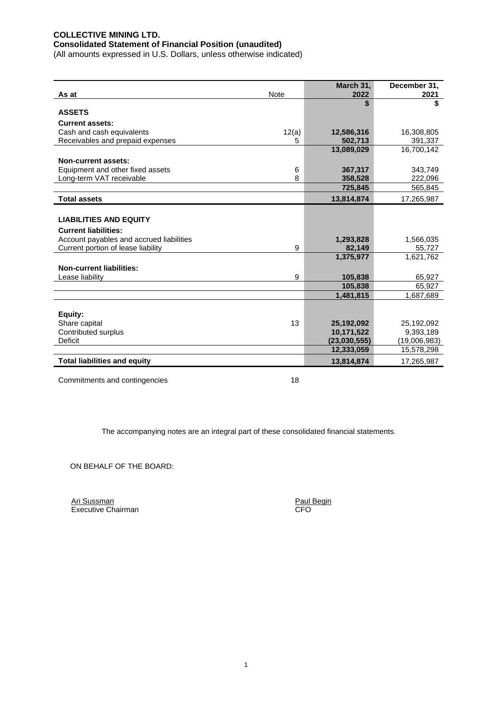## **COLLECTIVE MINING LTD. Consolidated Statement of Financial Position (unaudited)**

(All amounts expressed in U.S. Dollars, unless otherwise indicated)

|                                          |             | March 31,      | December 31, |
|------------------------------------------|-------------|----------------|--------------|
| As at                                    | <b>Note</b> | 2022           | 2021         |
|                                          |             |                | \$           |
| <b>ASSETS</b>                            |             |                |              |
| <b>Current assets:</b>                   |             |                |              |
| Cash and cash equivalents                | 12(a)       | 12,586,316     | 16,308,805   |
| Receivables and prepaid expenses         | 5           | 502,713        | 391,337      |
|                                          |             | 13,089,029     | 16,700,142   |
| Non-current assets:                      |             |                |              |
| Equipment and other fixed assets         | 6           | 367,317        | 343,749      |
| Long-term VAT receivable                 | 8           | 358,528        | 222,096      |
|                                          |             | 725,845        | 565,845      |
| <b>Total assets</b>                      |             | 13,814,874     | 17,265,987   |
|                                          |             |                |              |
| <b>LIABILITIES AND EQUITY</b>            |             |                |              |
| <b>Current liabilities:</b>              |             |                |              |
| Account payables and accrued liabilities |             | 1,293,828      | 1,566,035    |
| Current portion of lease liability       | 9           | 82,149         | 55,727       |
|                                          |             | 1,375,977      | 1,621,762    |
| <b>Non-current liabilities:</b>          |             |                |              |
| Lease liability                          | 9           | 105,838        | 65,927       |
|                                          |             | 105,838        | 65,927       |
|                                          |             | 1,481,815      | 1,687,689    |
|                                          |             |                |              |
| Equity:                                  |             |                |              |
| Share capital                            | 13          | 25,192,092     | 25,192,092   |
| Contributed surplus                      |             | 10,171,522     | 9,393,189    |
| Deficit                                  |             | (23, 030, 555) | (19,006,983) |
|                                          |             | 12,333,059     | 15,578,298   |
| <b>Total liabilities and equity</b>      |             | 13,814,874     | 17,265,987   |
|                                          |             |                |              |

Commitments and contingencies 18

The accompanying notes are an integral part of these consolidated financial statements.

ON BEHALF OF THE BOARD:

Ari Sussman **Paul Begin** Executive Chairman CFO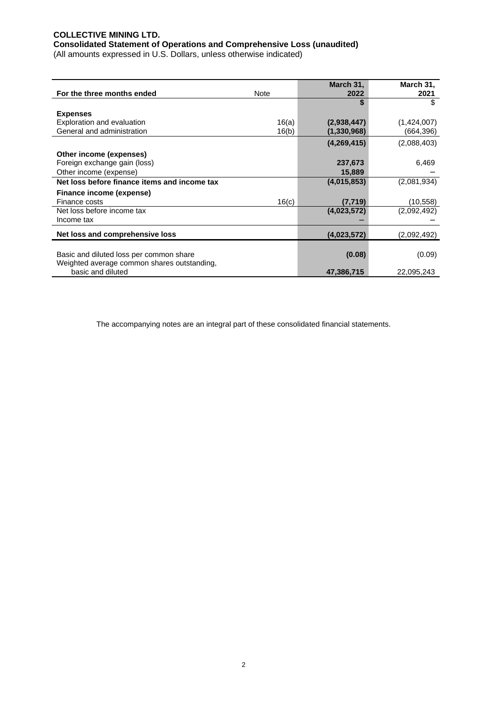## **COLLECTIVE MINING LTD. Consolidated Statement of Operations and Comprehensive Loss (unaudited)**

(All amounts expressed in U.S. Dollars, unless otherwise indicated)

| For the three months ended                              | Note  | March 31,<br>2022 | March 31,<br>2021 |
|---------------------------------------------------------|-------|-------------------|-------------------|
|                                                         |       |                   | \$                |
| <b>Expenses</b>                                         |       |                   |                   |
| <b>Exploration and evaluation</b>                       | 16(a) | (2,938,447)       | (1,424,007)       |
| General and administration                              | 16(b) | (1,330,968)       | (664,396)         |
|                                                         |       | (4,269,415)       | (2,088,403)       |
|                                                         |       |                   |                   |
| Other income (expenses)<br>Foreign exchange gain (loss) |       | 237,673           | 6,469             |
|                                                         |       |                   |                   |
| Other income (expense)                                  |       | 15,889            |                   |
| Net loss before finance items and income tax            |       | (4,015,853)       | (2,081,934)       |
| Finance income (expense)                                |       |                   |                   |
| Finance costs                                           | 16(c) | (7, 719)          | (10, 558)         |
| Net loss before income tax                              |       | (4,023,572)       | (2,092,492)       |
| Income tax                                              |       |                   |                   |
| Net loss and comprehensive loss                         |       | (4,023,572)       | (2,092,492)       |
|                                                         |       |                   |                   |
| Basic and diluted loss per common share                 |       | (0.08)            | (0.09)            |
| Weighted average common shares outstanding,             |       |                   |                   |
| basic and diluted                                       |       | 47,386,715        | 22,095,243        |

The accompanying notes are an integral part of these consolidated financial statements.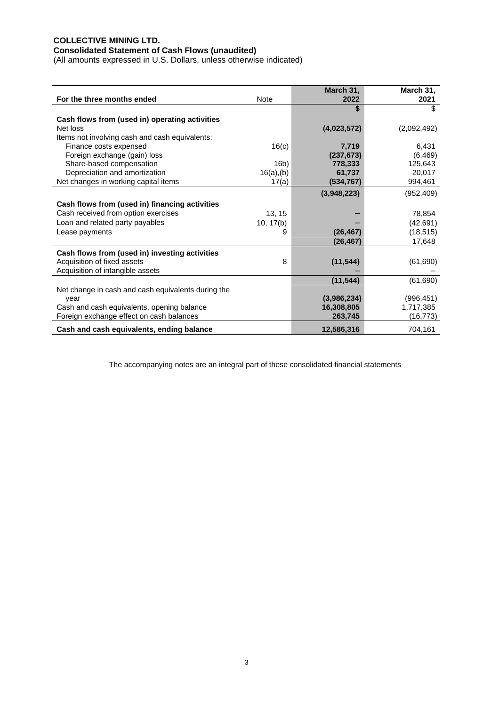# **COLLECTIVE MINING LTD.**

#### **Consolidated Statement of Cash Flows (unaudited)**

(All amounts expressed in U.S. Dollars, unless otherwise indicated)

|                                                    |               | March 31,   | March 31,   |
|----------------------------------------------------|---------------|-------------|-------------|
| For the three months ended                         | <b>Note</b>   | 2022        | 2021        |
|                                                    |               |             | \$          |
| Cash flows from (used in) operating activities     |               |             |             |
| Net loss                                           |               | (4,023,572) | (2,092,492) |
| Items not involving cash and cash equivalents:     |               |             |             |
| Finance costs expensed                             | 16(c)         | 7,719       | 6,431       |
| Foreign exchange (gain) loss                       |               | (237, 673)  | (6, 469)    |
| Share-based compensation                           | 16b)          | 778,333     | 125,643     |
| Depreciation and amortization                      | $16(a)$ , (b) | 61,737      | 20,017      |
| Net changes in working capital items               | 17(a)         | (534,767)   | 994,461     |
|                                                    |               | (3,948,223) | (952, 409)  |
| Cash flows from (used in) financing activities     |               |             |             |
| Cash received from option exercises                | 13, 15        |             | 78,854      |
| Loan and related party payables                    | 10, 17(b)     |             | (42, 691)   |
| Lease payments                                     | 9             | (26, 467)   | (18, 515)   |
|                                                    |               | (26,467)    | 17,648      |
| Cash flows from (used in) investing activities     |               |             |             |
| Acquisition of fixed assets                        | 8             | (11, 544)   | (61, 690)   |
| Acquisition of intangible assets                   |               |             |             |
|                                                    |               | (11, 544)   | (61, 690)   |
| Net change in cash and cash equivalents during the |               |             |             |
| year                                               |               | (3,986,234) | (996, 451)  |
| Cash and cash equivalents, opening balance         |               | 16,308,805  | 1,717,385   |
| Foreign exchange effect on cash balances           |               | 263,745     | (16, 773)   |
| Cash and cash equivalents, ending balance          |               | 12,586,316  | 704,161     |

The accompanying notes are an integral part of these consolidated financial statements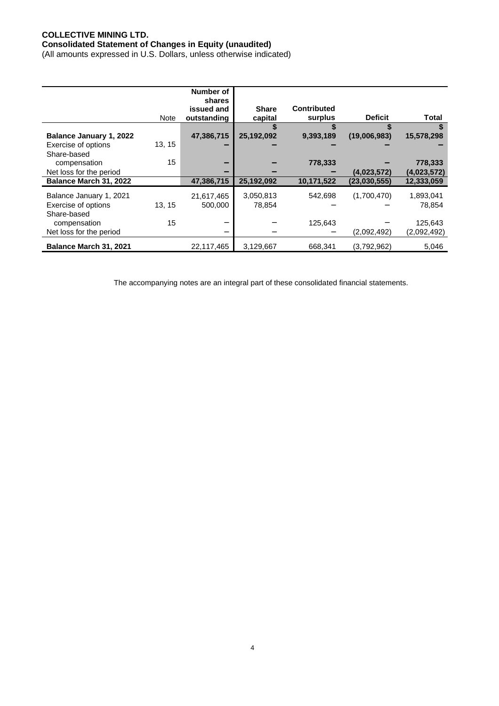## **COLLECTIVE MINING LTD. Consolidated Statement of Changes in Equity (unaudited)**

(All amounts expressed in U.S. Dollars, unless otherwise indicated)

|                         |        | Number of     |              |                    |                |             |
|-------------------------|--------|---------------|--------------|--------------------|----------------|-------------|
|                         |        | <b>shares</b> |              |                    |                |             |
|                         |        | issued and    | <b>Share</b> | <b>Contributed</b> |                |             |
|                         | Note   | outstanding   | capital      | surplus            | <b>Deficit</b> | Total       |
|                         |        |               |              |                    |                |             |
| Balance January 1, 2022 |        | 47,386,715    | 25,192,092   | 9,393,189          | (19,006,983)   | 15,578,298  |
| Exercise of options     | 13, 15 |               |              |                    |                |             |
| Share-based             |        |               |              |                    |                |             |
| compensation            | 15     |               |              | 778,333            |                | 778,333     |
| Net loss for the period |        |               |              |                    | (4,023,572)    | (4,023,572) |
| Balance March 31, 2022  |        | 47,386,715    | 25,192,092   | 10,171,522         | (23,030,555)   | 12,333,059  |
| Balance January 1, 2021 |        | 21,617,465    | 3,050,813    | 542,698            | (1,700,470)    | 1,893,041   |
| Exercise of options     | 13.15  | 500.000       | 78.854       |                    |                | 78.854      |
| Share-based             |        |               |              |                    |                |             |
| compensation            | 15     |               |              | 125,643            |                | 125,643     |
| Net loss for the period |        |               |              |                    | (2,092,492)    | (2,092,492) |
| Balance March 31, 2021  |        | 22,117,465    | 3,129,667    | 668,341            | (3,792,962)    | 5,046       |

The accompanying notes are an integral part of these consolidated financial statements.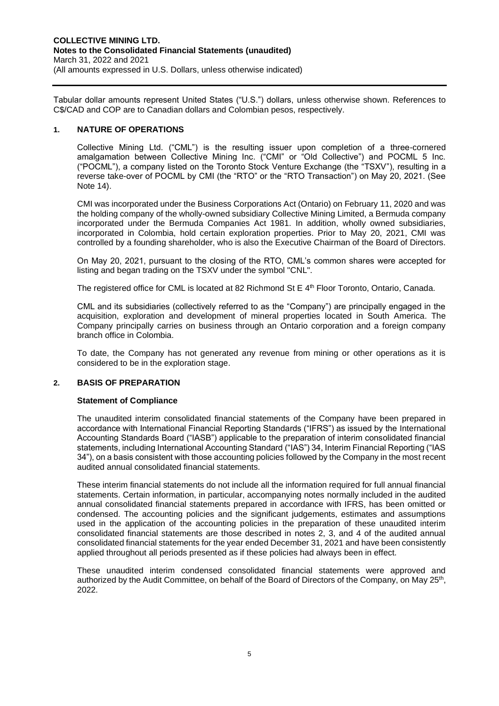Tabular dollar amounts represent United States ("U.S.") dollars, unless otherwise shown. References to C\$/CAD and COP are to Canadian dollars and Colombian pesos, respectively.

## **1. NATURE OF OPERATIONS**

Collective Mining Ltd. ("CML") is the resulting issuer upon completion of a three-cornered amalgamation between Collective Mining Inc. ("CMI" or "Old Collective") and POCML 5 Inc. ("POCML"), a company listed on the Toronto Stock Venture Exchange (the "TSXV"), resulting in a reverse take-over of POCML by CMI (the "RTO" or the "RTO Transaction") on May 20, 2021. (See Note 14).

CMI was incorporated under the Business Corporations Act (Ontario) on February 11, 2020 and was the holding company of the wholly-owned subsidiary Collective Mining Limited, a Bermuda company incorporated under the Bermuda Companies Act 1981. In addition, wholly owned subsidiaries, incorporated in Colombia, hold certain exploration properties. Prior to May 20, 2021, CMI was controlled by a founding shareholder, who is also the Executive Chairman of the Board of Directors.

On May 20, 2021, pursuant to the closing of the RTO, CML's common shares were accepted for listing and began trading on the TSXV under the symbol "CNL".

The registered office for CML is located at 82 Richmond St E 4<sup>th</sup> Floor Toronto, Ontario, Canada.

CML and its subsidiaries (collectively referred to as the "Company") are principally engaged in the acquisition, exploration and development of mineral properties located in South America. The Company principally carries on business through an Ontario corporation and a foreign company branch office in Colombia.

To date, the Company has not generated any revenue from mining or other operations as it is considered to be in the exploration stage.

## **2. BASIS OF PREPARATION**

## **Statement of Compliance**

The unaudited interim consolidated financial statements of the Company have been prepared in accordance with International Financial Reporting Standards ("IFRS") as issued by the International Accounting Standards Board ("IASB") applicable to the preparation of interim consolidated financial statements, including International Accounting Standard ("IAS") 34, Interim Financial Reporting ("IAS 34"), on a basis consistent with those accounting policies followed by the Company in the most recent audited annual consolidated financial statements.

These interim financial statements do not include all the information required for full annual financial statements. Certain information, in particular, accompanying notes normally included in the audited annual consolidated financial statements prepared in accordance with IFRS, has been omitted or condensed. The accounting policies and the significant judgements, estimates and assumptions used in the application of the accounting policies in the preparation of these unaudited interim consolidated financial statements are those described in notes 2, 3, and 4 of the audited annual consolidated financial statements for the year ended December 31, 2021 and have been consistently applied throughout all periods presented as if these policies had always been in effect.

These unaudited interim condensed consolidated financial statements were approved and authorized by the Audit Committee, on behalf of the Board of Directors of the Company, on May 25<sup>th</sup>, 2022.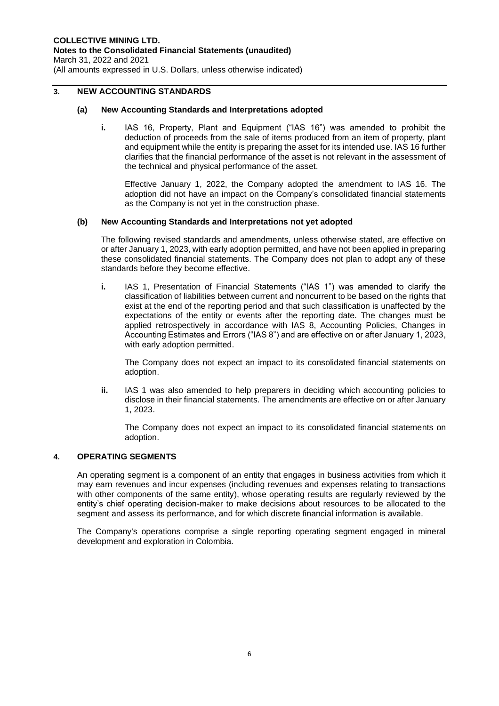## **3. NEW ACCOUNTING STANDARDS**

## **(a) New Accounting Standards and Interpretations adopted**

**i.** IAS 16, Property, Plant and Equipment ("IAS 16") was amended to prohibit the deduction of proceeds from the sale of items produced from an item of property, plant and equipment while the entity is preparing the asset for its intended use. IAS 16 further clarifies that the financial performance of the asset is not relevant in the assessment of the technical and physical performance of the asset.

Effective January 1, 2022, the Company adopted the amendment to IAS 16. The adoption did not have an impact on the Company's consolidated financial statements as the Company is not yet in the construction phase.

## **(b) New Accounting Standards and Interpretations not yet adopted**

The following revised standards and amendments, unless otherwise stated, are effective on or after January 1, 2023, with early adoption permitted, and have not been applied in preparing these consolidated financial statements. The Company does not plan to adopt any of these standards before they become effective.

**i.** IAS 1, Presentation of Financial Statements ("IAS 1") was amended to clarify the classification of liabilities between current and noncurrent to be based on the rights that exist at the end of the reporting period and that such classification is unaffected by the expectations of the entity or events after the reporting date. The changes must be applied retrospectively in accordance with IAS 8, Accounting Policies, Changes in Accounting Estimates and Errors ("IAS 8") and are effective on or after January 1, 2023, with early adoption permitted.

The Company does not expect an impact to its consolidated financial statements on adoption.

**ii.** IAS 1 was also amended to help preparers in deciding which accounting policies to disclose in their financial statements. The amendments are effective on or after January 1, 2023.

The Company does not expect an impact to its consolidated financial statements on adoption.

## **4. OPERATING SEGMENTS**

An operating segment is a component of an entity that engages in business activities from which it may earn revenues and incur expenses (including revenues and expenses relating to transactions with other components of the same entity), whose operating results are regularly reviewed by the entity's chief operating decision-maker to make decisions about resources to be allocated to the segment and assess its performance, and for which discrete financial information is available.

The Company's operations comprise a single reporting operating segment engaged in mineral development and exploration in Colombia.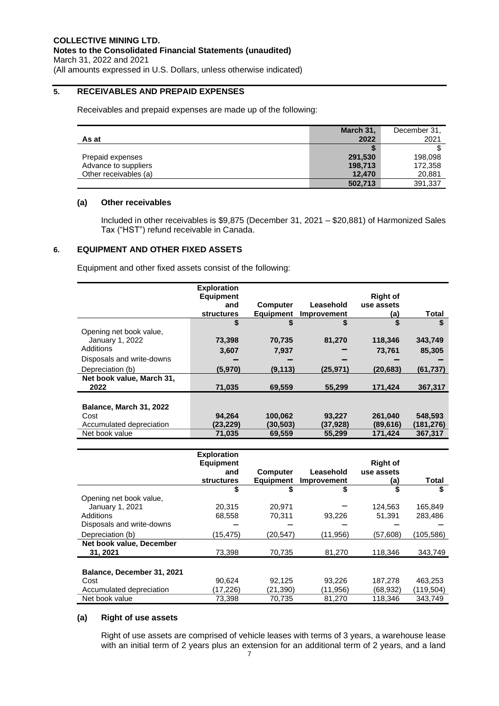## **5. RECEIVABLES AND PREPAID EXPENSES**

Receivables and prepaid expenses are made up of the following:

|                       | March 31, | December 31, |
|-----------------------|-----------|--------------|
| As at                 | 2022      | 2021         |
|                       |           |              |
| Prepaid expenses      | 291,530   | 198,098      |
| Advance to suppliers  | 198,713   | 172,358      |
| Other receivables (a) | 12,470    | 20,881       |
|                       | 502,713   | 391,337      |

## **(a) Other receivables**

Included in other receivables is \$9,875 (December 31, 2021 – \$20,881) of Harmonized Sales Tax ("HST") refund receivable in Canada.

## **6. EQUIPMENT AND OTHER FIXED ASSETS**

Equipment and other fixed assets consist of the following:

|                           | <b>Exploration</b> |                  |             |                 |           |
|---------------------------|--------------------|------------------|-------------|-----------------|-----------|
|                           | <b>Equipment</b>   |                  |             | <b>Right of</b> |           |
|                           | and                | <b>Computer</b>  | Leasehold   | use assets      |           |
|                           | <b>structures</b>  | <b>Equipment</b> | Improvement | (a)             | Total     |
|                           | \$                 | S                | \$          | \$              | \$        |
| Opening net book value,   |                    |                  |             |                 |           |
| January 1, 2022           | 73,398             | 70,735           | 81,270      | 118,346         | 343,749   |
| Additions                 | 3,607              | 7,937            |             | 73,761          | 85,305    |
| Disposals and write-downs |                    |                  |             |                 |           |
| Depreciation (b)          | (5,970)            | (9, 113)         | (25,971)    | (20, 683)       | (61, 737) |
| Net book value, March 31, |                    |                  |             |                 |           |
| 2022                      | 71,035             | 69,559           | 55,299      | 171,424         | 367,317   |
|                           |                    |                  |             |                 |           |
| Balance, March 31, 2022   |                    |                  |             |                 |           |
| Cost                      | 94,264             | 100,062          | 93,227      | 261,040         | 548,593   |
| Accumulated depreciation  | (23, 229)          | (30, 503)        | (37, 928)   | (89, 616)       | (181,276) |
| Net book value            | 71,035             | 69,559           | 55.299      | 171.424         | 367.317   |

|                                      | <b>Exploration</b><br><b>Equipment</b> |                                     |                          | <b>Right of</b>   |           |
|--------------------------------------|----------------------------------------|-------------------------------------|--------------------------|-------------------|-----------|
|                                      | and<br><b>structures</b>               | <b>Computer</b><br><b>Equipment</b> | Leasehold<br>Improvement | use assets<br>(a) | Total     |
|                                      | S                                      | 5                                   | S                        | \$                | S         |
| Opening net book value,              |                                        |                                     |                          |                   |           |
| January 1, 2021                      | 20.315                                 | 20.971                              |                          | 124.563           | 165.849   |
| Additions                            | 68,558                                 | 70,311                              | 93.226                   | 51.391            | 283.486   |
| Disposals and write-downs            |                                        |                                     |                          |                   |           |
| Depreciation (b)                     | (15, 475)                              | (20, 547)                           | (11,956)                 | (57,608)          | (105,586) |
| Net book value, December<br>31, 2021 | 73,398                                 | 70,735                              | 81,270                   | 118,346           | 343,749   |
|                                      |                                        |                                     |                          |                   |           |
| Balance, December 31, 2021           |                                        |                                     |                          |                   |           |
| Cost                                 | 90.624                                 | 92.125                              | 93.226                   | 187.278           | 463.253   |
| Accumulated depreciation             | (17,226)                               | (21,390)                            | (11,956)                 | (68, 932)         | (119,504) |
| Net book value                       | 73,398                                 | 70,735                              | 81,270                   | 118,346           | 343,749   |

## **(a) Right of use assets**

Right of use assets are comprised of vehicle leases with terms of 3 years, a warehouse lease with an initial term of 2 years plus an extension for an additional term of 2 years, and a land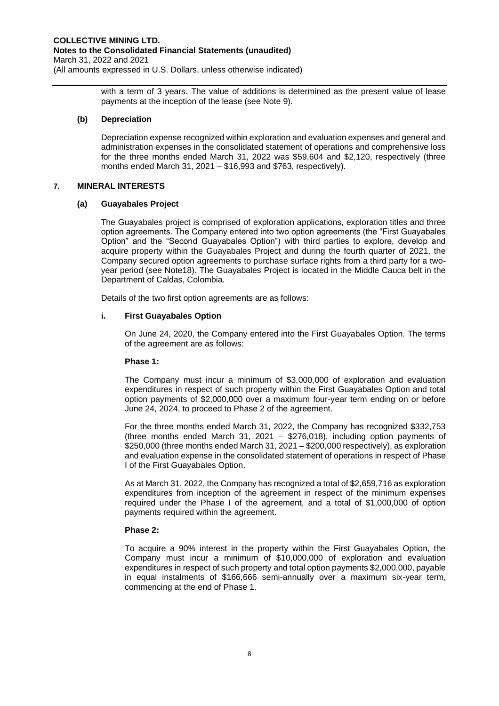with a term of 3 years. The value of additions is determined as the present value of lease payments at the inception of the lease (see Note 9).

## **(b) Depreciation**

Depreciation expense recognized within exploration and evaluation expenses and general and administration expenses in the consolidated statement of operations and comprehensive loss for the three months ended March 31, 2022 was \$59,604 and \$2,120, respectively (three months ended March 31, 2021 – \$16,993 and \$763, respectively).

## **7. MINERAL INTERESTS**

## **(a) Guayabales Project**

The Guayabales project is comprised of exploration applications, exploration titles and three option agreements. The Company entered into two option agreements (the "First Guayabales Option" and the "Second Guayabales Option") with third parties to explore, develop and acquire property within the Guayabales Project and during the fourth quarter of 2021, the Company secured option agreements to purchase surface rights from a third party for a twoyear period (see Note18). The Guayabales Project is located in the Middle Cauca belt in the Department of Caldas, Colombia.

Details of the two first option agreements are as follows:

## **i. First Guayabales Option**

On June 24, 2020, the Company entered into the First Guayabales Option. The terms of the agreement are as follows:

## **Phase 1:**

The Company must incur a minimum of \$3,000,000 of exploration and evaluation expenditures in respect of such property within the First Guayabales Option and total option payments of \$2,000,000 over a maximum four-year term ending on or before June 24, 2024, to proceed to Phase 2 of the agreement.

For the three months ended March 31, 2022, the Company has recognized \$332,753 (three months ended March 31, 2021 – \$276,018), including option payments of \$250,000 (three months ended March 31, 2021 – \$200,000 respectively), as exploration and evaluation expense in the consolidated statement of operations in respect of Phase I of the First Guayabales Option.

As at March 31, 2022, the Company has recognized a total of \$2,659,716 as exploration expenditures from inception of the agreement in respect of the minimum expenses required under the Phase I of the agreement, and a total of \$1,000,000 of option payments required within the agreement.

## **Phase 2:**

To acquire a 90% interest in the property within the First Guayabales Option, the Company must incur a minimum of \$10,000,000 of exploration and evaluation expenditures in respect of such property and total option payments \$2,000,000, payable in equal instalments of \$166,666 semi-annually over a maximum six-year term, commencing at the end of Phase 1.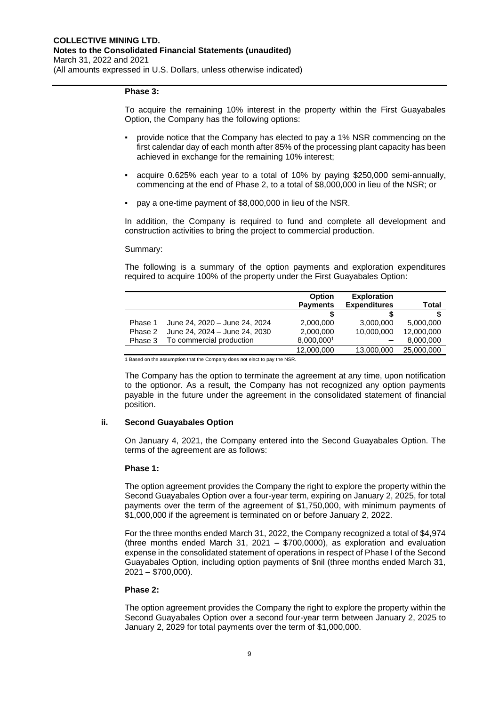#### **Phase 3:**

To acquire the remaining 10% interest in the property within the First Guayabales Option, the Company has the following options:

- provide notice that the Company has elected to pay a 1% NSR commencing on the first calendar day of each month after 85% of the processing plant capacity has been achieved in exchange for the remaining 10% interest;
- acquire 0.625% each year to a total of 10% by paying \$250,000 semi-annually, commencing at the end of Phase 2, to a total of \$8,000,000 in lieu of the NSR; or
- pay a one-time payment of \$8,000,000 in lieu of the NSR.

In addition, the Company is required to fund and complete all development and construction activities to bring the project to commercial production.

#### Summary:

The following is a summary of the option payments and exploration expenditures required to acquire 100% of the property under the First Guayabales Option:

|         |                               | <b>Option</b>   | <b>Exploration</b>  |            |
|---------|-------------------------------|-----------------|---------------------|------------|
|         |                               | <b>Payments</b> | <b>Expenditures</b> | Total      |
|         |                               | S               |                     |            |
| Phase 1 | June 24, 2020 - June 24, 2024 | 2,000,000       | 3,000,000           | 5,000,000  |
| Phase 2 | June 24, 2024 - June 24, 2030 | 2,000,000       | 10,000,000          | 12,000,000 |
| Phase 3 | To commercial production      | 8,000,0001      |                     | 8,000,000  |
|         |                               | 12,000,000      | 13,000,000          | 25,000,000 |

1 Based on the assumption that the Company does not elect to pay the NSR.

The Company has the option to terminate the agreement at any time, upon notification to the optionor. As a result, the Company has not recognized any option payments payable in the future under the agreement in the consolidated statement of financial position.

## **ii. Second Guayabales Option**

On January 4, 2021, the Company entered into the Second Guayabales Option. The terms of the agreement are as follows:

#### **Phase 1:**

The option agreement provides the Company the right to explore the property within the Second Guayabales Option over a four-year term, expiring on January 2, 2025, for total payments over the term of the agreement of \$1,750,000, with minimum payments of \$1,000,000 if the agreement is terminated on or before January 2, 2022.

For the three months ended March 31, 2022, the Company recognized a total of \$4,974 (three months ended March 31, 2021 – \$700,0000), as exploration and evaluation expense in the consolidated statement of operations in respect of Phase I of the Second Guayabales Option, including option payments of \$nil (three months ended March 31, 2021 – \$700,000).

#### **Phase 2:**

The option agreement provides the Company the right to explore the property within the Second Guayabales Option over a second four-year term between January 2, 2025 to January 2, 2029 for total payments over the term of \$1,000,000.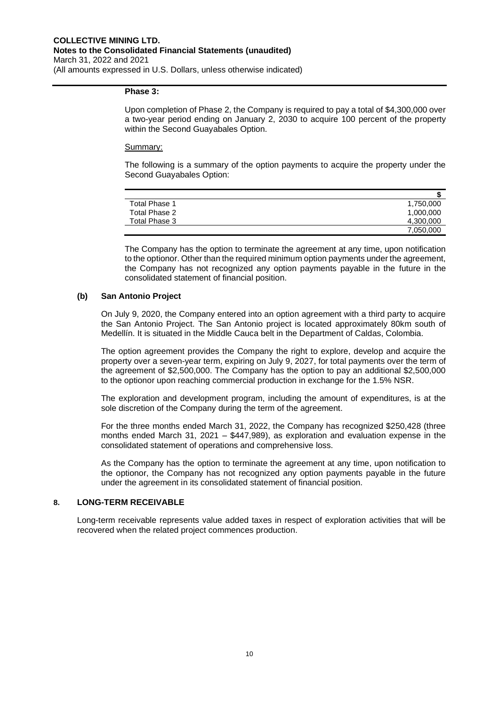#### **Phase 3:**

Upon completion of Phase 2, the Company is required to pay a total of \$4,300,000 over a two-year period ending on January 2, 2030 to acquire 100 percent of the property within the Second Guayabales Option.

#### Summary:

The following is a summary of the option payments to acquire the property under the Second Guayabales Option:

| Total Phase 1 | 1,750,000 |
|---------------|-----------|
| Total Phase 2 | 1,000,000 |
| Total Phase 3 | 4,300,000 |
|               | 7,050,000 |

The Company has the option to terminate the agreement at any time, upon notification to the optionor. Other than the required minimum option payments under the agreement, the Company has not recognized any option payments payable in the future in the consolidated statement of financial position.

## **(b) San Antonio Project**

On July 9, 2020, the Company entered into an option agreement with a third party to acquire the San Antonio Project. The San Antonio project is located approximately 80km south of Medellín. It is situated in the Middle Cauca belt in the Department of Caldas, Colombia.

The option agreement provides the Company the right to explore, develop and acquire the property over a seven-year term, expiring on July 9, 2027, for total payments over the term of the agreement of \$2,500,000. The Company has the option to pay an additional \$2,500,000 to the optionor upon reaching commercial production in exchange for the 1.5% NSR.

The exploration and development program, including the amount of expenditures, is at the sole discretion of the Company during the term of the agreement.

For the three months ended March 31, 2022, the Company has recognized \$250,428 (three months ended March 31, 2021 – \$447,989), as exploration and evaluation expense in the consolidated statement of operations and comprehensive loss.

As the Company has the option to terminate the agreement at any time, upon notification to the optionor, the Company has not recognized any option payments payable in the future under the agreement in its consolidated statement of financial position.

## **8. LONG-TERM RECEIVABLE**

Long-term receivable represents value added taxes in respect of exploration activities that will be recovered when the related project commences production.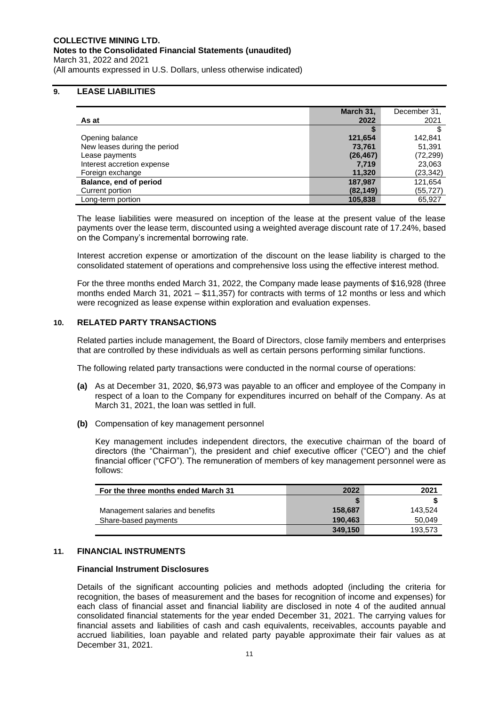#### **COLLECTIVE MINING LTD. Notes to the Consolidated Financial Statements (unaudited)** March 31, 2022 and 2021 (All amounts expressed in U.S. Dollars, unless otherwise indicated)

## **9. LEASE LIABILITIES**

|                              | March 31, | December 31, |
|------------------------------|-----------|--------------|
| As at                        | 2022      | 2021         |
|                              |           |              |
| Opening balance              | 121,654   | 142.841      |
| New leases during the period | 73,761    | 51,391       |
| Lease payments               | (26, 467) | (72, 299)    |
| Interest accretion expense   | 7,719     | 23,063       |
| Foreign exchange             | 11.320    | (23, 342)    |
| Balance, end of period       | 187,987   | 121,654      |
| Current portion              | (82, 149) | (55,727)     |
| Long-term portion            | 105,838   | 65,927       |

The lease liabilities were measured on inception of the lease at the present value of the lease payments over the lease term, discounted using a weighted average discount rate of 17.24%, based on the Company's incremental borrowing rate.

Interest accretion expense or amortization of the discount on the lease liability is charged to the consolidated statement of operations and comprehensive loss using the effective interest method.

For the three months ended March 31, 2022, the Company made lease payments of \$16,928 (three months ended March 31, 2021 – \$11,357) for contracts with terms of 12 months or less and which were recognized as lease expense within exploration and evaluation expenses.

## **10. RELATED PARTY TRANSACTIONS**

Related parties include management, the Board of Directors, close family members and enterprises that are controlled by these individuals as well as certain persons performing similar functions.

The following related party transactions were conducted in the normal course of operations:

- **(a)** As at December 31, 2020, \$6,973 was payable to an officer and employee of the Company in respect of a loan to the Company for expenditures incurred on behalf of the Company. As at March 31, 2021, the loan was settled in full.
- **(b)** Compensation of key management personnel

Key management includes independent directors, the executive chairman of the board of directors (the "Chairman"), the president and chief executive officer ("CEO") and the chief financial officer ("CFO"). The remuneration of members of key management personnel were as follows:

| For the three months ended March 31 | 2022    | 2021    |
|-------------------------------------|---------|---------|
|                                     |         |         |
| Management salaries and benefits    | 158.687 | 143.524 |
| Share-based payments                | 190.463 | 50.049  |
|                                     | 349.150 | 193.573 |

#### **11. FINANCIAL INSTRUMENTS**

#### **Financial Instrument Disclosures**

Details of the significant accounting policies and methods adopted (including the criteria for recognition, the bases of measurement and the bases for recognition of income and expenses) for each class of financial asset and financial liability are disclosed in note 4 of the audited annual consolidated financial statements for the year ended December 31, 2021. The carrying values for financial assets and liabilities of cash and cash equivalents, receivables, accounts payable and accrued liabilities, loan payable and related party payable approximate their fair values as at December 31, 2021.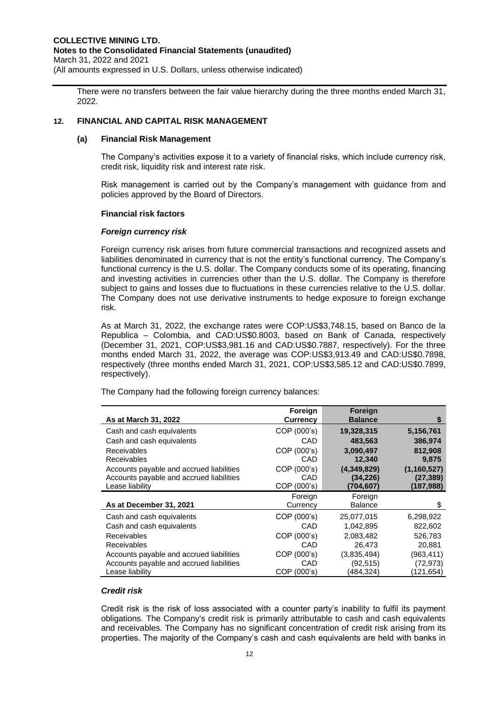There were no transfers between the fair value hierarchy during the three months ended March 31, 2022.

## **12. FINANCIAL AND CAPITAL RISK MANAGEMENT**

## **(a) Financial Risk Management**

The Company's activities expose it to a variety of financial risks, which include currency risk, credit risk, liquidity risk and interest rate risk.

Risk management is carried out by the Company's management with guidance from and policies approved by the Board of Directors.

#### **Financial risk factors**

#### *Foreign currency risk*

Foreign currency risk arises from future commercial transactions and recognized assets and liabilities denominated in currency that is not the entity's functional currency. The Company's functional currency is the U.S. dollar. The Company conducts some of its operating, financing and investing activities in currencies other than the U.S. dollar. The Company is therefore subject to gains and losses due to fluctuations in these currencies relative to the U.S. dollar. The Company does not use derivative instruments to hedge exposure to foreign exchange risk.

As at March 31, 2022, the exchange rates were COP:US\$3,748.15, based on Banco de la Republica – Colombia, and CAD:US\$0.8003, based on Bank of Canada, respectively (December 31, 2021, COP:US\$3,981.16 and CAD:US\$0.7887, respectively). For the three months ended March 31, 2022, the average was COP:US\$3,913.49 and CAD:US\$0.7898, respectively (three months ended March 31, 2021, COP:US\$3,585.12 and CAD:US\$0.7899, respectively).

The Company had the following foreign currency balances:

|                                          | <b>Foreign</b>  | <b>Foreign</b> |               |
|------------------------------------------|-----------------|----------------|---------------|
| As at March 31, 2022                     | <b>Currency</b> | <b>Balance</b> | S             |
| Cash and cash equivalents                | COP (000's)     | 19,328,315     | 5,156,761     |
| Cash and cash equivalents                | CAD             | 483,563        | 386,974       |
| <b>Receivables</b>                       | COP (000's)     | 3,090,497      | 812,908       |
| <b>Receivables</b>                       | CAD             | 12,340         | 9,875         |
| Accounts payable and accrued liabilities | COP (000's)     | (4,349,829)    | (1, 160, 527) |
| Accounts payable and accrued liabilities | CAD             | (34, 226)      | (27, 389)     |
| Lease liability                          | COP (000's)     | (704,607)      | (187,988)     |
|                                          | Foreign         | Foreign        |               |
| As at December 31, 2021                  | Currency        | <b>Balance</b> | \$            |
| Cash and cash equivalents                | COP (000's)     | 25,077,015     | 6,298,922     |
| Cash and cash equivalents                | CAD             | 1,042,895      | 822,602       |
| Receivables                              | COP (000's)     | 2.083.482      | 526.783       |
| Receivables                              | CAD             | 26,473         | 20,881        |
| Accounts payable and accrued liabilities | COP (000's)     | (3,835,494)    | (963, 411)    |
| Accounts payable and accrued liabilities | CAD             | (92,515)       | (72, 973)     |
| Lease liability                          | COP (000's)     | (484,324)      | (121,654)     |

## *Credit risk*

Credit risk is the risk of loss associated with a counter party's inability to fulfil its payment obligations. The Company's credit risk is primarily attributable to cash and cash equivalents and receivables. The Company has no significant concentration of credit risk arising from its properties. The majority of the Company's cash and cash equivalents are held with banks in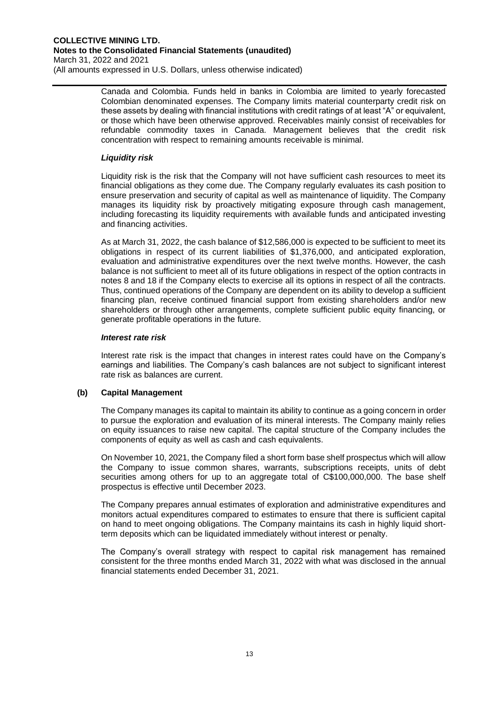Canada and Colombia. Funds held in banks in Colombia are limited to yearly forecasted Colombian denominated expenses. The Company limits material counterparty credit risk on these assets by dealing with financial institutions with credit ratings of at least "A" or equivalent, or those which have been otherwise approved. Receivables mainly consist of receivables for refundable commodity taxes in Canada. Management believes that the credit risk concentration with respect to remaining amounts receivable is minimal.

## *Liquidity risk*

Liquidity risk is the risk that the Company will not have sufficient cash resources to meet its financial obligations as they come due. The Company regularly evaluates its cash position to ensure preservation and security of capital as well as maintenance of liquidity. The Company manages its liquidity risk by proactively mitigating exposure through cash management, including forecasting its liquidity requirements with available funds and anticipated investing and financing activities.

As at March 31, 2022, the cash balance of \$12,586,000 is expected to be sufficient to meet its obligations in respect of its current liabilities of \$1,376,000, and anticipated exploration, evaluation and administrative expenditures over the next twelve months. However, the cash balance is not sufficient to meet all of its future obligations in respect of the option contracts in notes 8 and 18 if the Company elects to exercise all its options in respect of all the contracts. Thus, continued operations of the Company are dependent on its ability to develop a sufficient financing plan, receive continued financial support from existing shareholders and/or new shareholders or through other arrangements, complete sufficient public equity financing, or generate profitable operations in the future.

## *Interest rate risk*

Interest rate risk is the impact that changes in interest rates could have on the Company's earnings and liabilities. The Company's cash balances are not subject to significant interest rate risk as balances are current.

## **(b) Capital Management**

The Company manages its capital to maintain its ability to continue as a going concern in order to pursue the exploration and evaluation of its mineral interests. The Company mainly relies on equity issuances to raise new capital. The capital structure of the Company includes the components of equity as well as cash and cash equivalents.

On November 10, 2021, the Company filed a short form base shelf prospectus which will allow the Company to issue common shares, warrants, subscriptions receipts, units of debt securities among others for up to an aggregate total of C\$100,000,000. The base shelf prospectus is effective until December 2023.

The Company prepares annual estimates of exploration and administrative expenditures and monitors actual expenditures compared to estimates to ensure that there is sufficient capital on hand to meet ongoing obligations. The Company maintains its cash in highly liquid shortterm deposits which can be liquidated immediately without interest or penalty.

The Company's overall strategy with respect to capital risk management has remained consistent for the three months ended March 31, 2022 with what was disclosed in the annual financial statements ended December 31, 2021.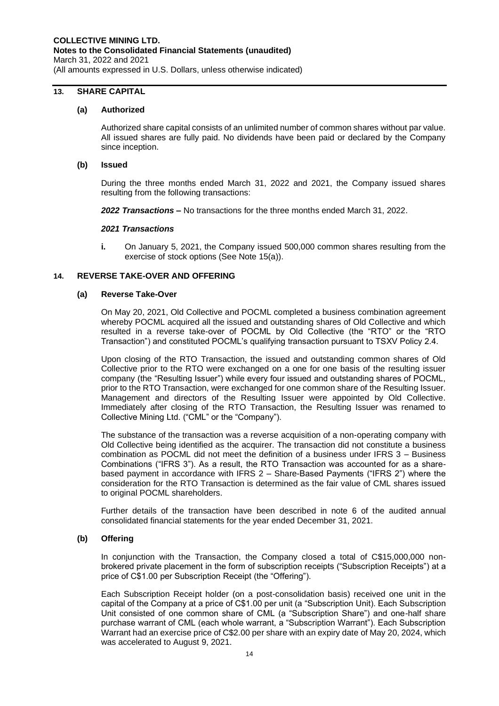## **13. SHARE CAPITAL**

#### **(a) Authorized**

Authorized share capital consists of an unlimited number of common shares without par value. All issued shares are fully paid. No dividends have been paid or declared by the Company since inception.

#### **(b) Issued**

During the three months ended March 31, 2022 and 2021, the Company issued shares resulting from the following transactions:

*2022 Transactions* **–** No transactions for the three months ended March 31, 2022.

#### *2021 Transactions*

**i.** On January 5, 2021, the Company issued 500,000 common shares resulting from the exercise of stock options (See Note 15(a)).

## **14. REVERSE TAKE-OVER AND OFFERING**

#### **(a) Reverse Take-Over**

On May 20, 2021, Old Collective and POCML completed a business combination agreement whereby POCML acquired all the issued and outstanding shares of Old Collective and which resulted in a reverse take-over of POCML by Old Collective (the "RTO" or the "RTO Transaction") and constituted POCML's qualifying transaction pursuant to TSXV Policy 2.4.

Upon closing of the RTO Transaction, the issued and outstanding common shares of Old Collective prior to the RTO were exchanged on a one for one basis of the resulting issuer company (the "Resulting Issuer") while every four issued and outstanding shares of POCML, prior to the RTO Transaction, were exchanged for one common share of the Resulting Issuer. Management and directors of the Resulting Issuer were appointed by Old Collective. Immediately after closing of the RTO Transaction, the Resulting Issuer was renamed to Collective Mining Ltd. ("CML" or the "Company").

The substance of the transaction was a reverse acquisition of a non-operating company with Old Collective being identified as the acquirer. The transaction did not constitute a business combination as POCML did not meet the definition of a business under IFRS 3 – Business Combinations ("IFRS 3"). As a result, the RTO Transaction was accounted for as a sharebased payment in accordance with IFRS 2 – Share-Based Payments ("IFRS 2") where the consideration for the RTO Transaction is determined as the fair value of CML shares issued to original POCML shareholders.

Further details of the transaction have been described in note 6 of the audited annual consolidated financial statements for the year ended December 31, 2021.

## **(b) Offering**

In conjunction with the Transaction, the Company closed a total of C\$15,000,000 nonbrokered private placement in the form of subscription receipts ("Subscription Receipts") at a price of C\$1.00 per Subscription Receipt (the "Offering").

Each Subscription Receipt holder (on a post-consolidation basis) received one unit in the capital of the Company at a price of C\$1.00 per unit (a "Subscription Unit). Each Subscription Unit consisted of one common share of CML (a "Subscription Share") and one-half share purchase warrant of CML (each whole warrant, a "Subscription Warrant"). Each Subscription Warrant had an exercise price of C\$2.00 per share with an expiry date of May 20, 2024, which was accelerated to August 9, 2021.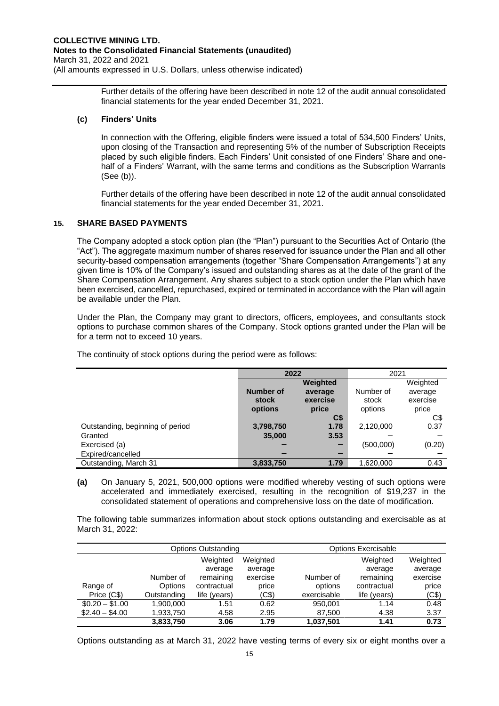Further details of the offering have been described in note 12 of the audit annual consolidated financial statements for the year ended December 31, 2021.

## **(c) Finders' Units**

In connection with the Offering, eligible finders were issued a total of 534,500 Finders' Units, upon closing of the Transaction and representing 5% of the number of Subscription Receipts placed by such eligible finders. Each Finders' Unit consisted of one Finders' Share and onehalf of a Finders' Warrant, with the same terms and conditions as the Subscription Warrants (See (b)).

Further details of the offering have been described in note 12 of the audit annual consolidated financial statements for the year ended December 31, 2021.

## **15. SHARE BASED PAYMENTS**

The Company adopted a stock option plan (the "Plan") pursuant to the Securities Act of Ontario (the "Act"). The aggregate maximum number of shares reserved for issuance under the Plan and all other security-based compensation arrangements (together "Share Compensation Arrangements") at any given time is 10% of the Company's issued and outstanding shares as at the date of the grant of the Share Compensation Arrangement. Any shares subject to a stock option under the Plan which have been exercised, cancelled, repurchased, expired or terminated in accordance with the Plan will again be available under the Plan.

Under the Plan, the Company may grant to directors, officers, employees, and consultants stock options to purchase common shares of the Company. Stock options granted under the Plan will be for a term not to exceed 10 years.

|                                  | 2022      |              | 2021      |          |
|----------------------------------|-----------|--------------|-----------|----------|
|                                  |           | Weighted     |           | Weighted |
|                                  | Number of | average      | Number of | average  |
|                                  | stock     | exercise     | stock     | exercise |
|                                  | options   | price        | options   | price    |
|                                  |           | $\mathsf{C}$ |           | C\$      |
| Outstanding, beginning of period | 3,798,750 | 1.78         | 2,120,000 | 0.37     |
| Granted                          | 35,000    | 3.53         |           |          |
| Exercised (a)                    |           |              | (500,000) | (0.20)   |
| Expired/cancelled                |           |              |           |          |
| Outstanding, March 31            | 3,833,750 | 1.79         | 1,620,000 | 0.43     |

The continuity of stock options during the period were as follows:

**(a)** On January 5, 2021, 500,000 options were modified whereby vesting of such options were accelerated and immediately exercised, resulting in the recognition of \$19,237 in the consolidated statement of operations and comprehensive loss on the date of modification.

The following table summarizes information about stock options outstanding and exercisable as at March 31, 2022:

| <b>Options Outstanding</b> |                |              | <b>Options Exercisable</b> |             |              |          |
|----------------------------|----------------|--------------|----------------------------|-------------|--------------|----------|
|                            |                | Weighted     | Weighted                   |             | Weighted     | Weighted |
|                            |                | average      | average                    |             | average      | average  |
|                            | Number of      | remaining    | exercise                   | Number of   | remaining    | exercise |
| Range of                   | <b>Options</b> | contractual  | price                      | options     | contractual  | price    |
| Price (C\$)                | Outstanding    | life (years) | (C\$)                      | exercisable | life (years) | (C\$)    |
| $$0.20 - $1.00$            | 1,900,000      | 1.51         | 0.62                       | 950.001     | 1.14         | 0.48     |
| $$2.40 - $4.00$            | 1,933,750      | 4.58         | 2.95                       | 87,500      | 4.38         | 3.37     |
|                            | 3,833,750      | 3.06         | 1.79                       | 1,037,501   | 1.41         | 0.73     |

Options outstanding as at March 31, 2022 have vesting terms of every six or eight months over a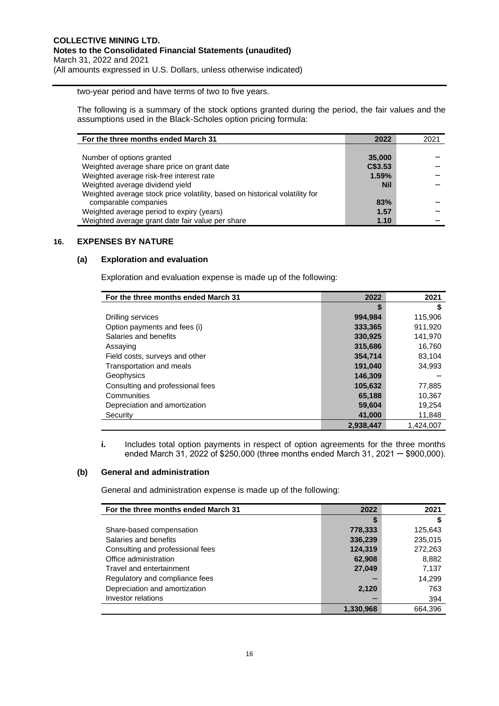two-year period and have terms of two to five years.

The following is a summary of the stock options granted during the period, the fair values and the assumptions used in the Black-Scholes option pricing formula:

| For the three months ended March 31                                         | 2022       | 2021 |
|-----------------------------------------------------------------------------|------------|------|
|                                                                             |            |      |
| Number of options granted                                                   | 35,000     |      |
| Weighted average share price on grant date                                  | C\$3.53    |      |
| Weighted average risk-free interest rate                                    | 1.59%      |      |
| Weighted average dividend yield                                             | <b>Nil</b> |      |
| Weighted average stock price volatility, based on historical volatility for |            |      |
| comparable companies                                                        | 83%        |      |
| Weighted average period to expiry (years)                                   | 1.57       |      |
| Weighted average grant date fair value per share                            | 1.10       |      |

## **16. EXPENSES BY NATURE**

## **(a) Exploration and evaluation**

Exploration and evaluation expense is made up of the following:

| For the three months ended March 31 | 2022      | 2021      |
|-------------------------------------|-----------|-----------|
|                                     | \$        | S         |
| Drilling services                   | 994,984   | 115,906   |
| Option payments and fees (i)        | 333,365   | 911,920   |
| Salaries and benefits               | 330,925   | 141,970   |
| Assaying                            | 315,686   | 16,760    |
| Field costs, surveys and other      | 354,714   | 83,104    |
| Transportation and meals            | 191,040   | 34.993    |
| Geophysics                          | 146,309   |           |
| Consulting and professional fees    | 105,632   | 77,885    |
| Communities                         | 65,188    | 10,367    |
| Depreciation and amortization       | 59,604    | 19,254    |
| Security                            | 41,000    | 11,848    |
|                                     | 2,938,447 | 1.424.007 |

**i.** Includes total option payments in respect of option agreements for the three months ended March 31, 2022 of \$250,000 (three months ended March 31, 2021  $-$  \$900,000).

## **(b) General and administration**

General and administration expense is made up of the following:

| For the three months ended March 31 | 2022      | 2021    |
|-------------------------------------|-----------|---------|
|                                     |           | S       |
| Share-based compensation            | 778,333   | 125,643 |
| Salaries and benefits               | 336,239   | 235,015 |
| Consulting and professional fees    | 124,319   | 272,263 |
| Office administration               | 62,908    | 8,882   |
| Travel and entertainment            | 27,049    | 7,137   |
| Regulatory and compliance fees      |           | 14.299  |
| Depreciation and amortization       | 2,120     | 763     |
| Investor relations                  |           | 394     |
|                                     | 1,330,968 | 664.396 |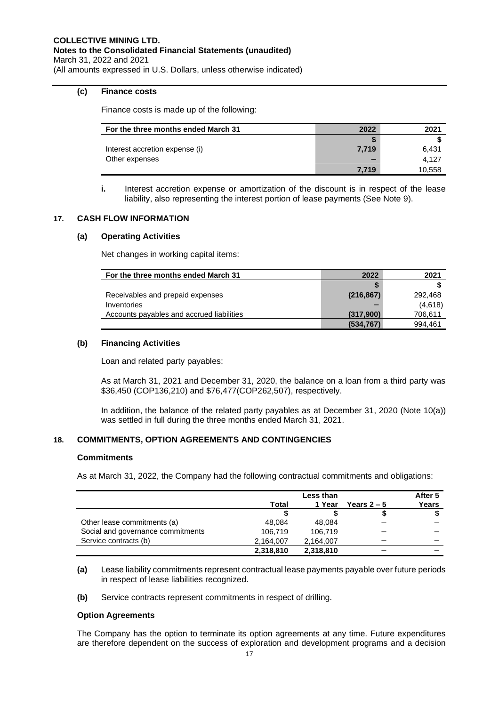## **(c) Finance costs**

Finance costs is made up of the following:

| For the three months ended March 31 | 2022  | 2021   |
|-------------------------------------|-------|--------|
|                                     |       |        |
| Interest accretion expense (i)      | 7.719 | 6,431  |
| Other expenses                      |       | 4.127  |
|                                     | 7.719 | 10,558 |

**i.** Interest accretion expense or amortization of the discount is in respect of the lease liability, also representing the interest portion of lease payments (See Note 9).

## **17. CASH FLOW INFORMATION**

## **(a) Operating Activities**

Net changes in working capital items:

| For the three months ended March 31       | 2022       | 2021    |
|-------------------------------------------|------------|---------|
|                                           |            |         |
| Receivables and prepaid expenses          | (216, 867) | 292.468 |
| Inventories                               |            | (4,618) |
| Accounts payables and accrued liabilities | (317,900)  | 706,611 |
|                                           | (534, 767) | 994.461 |

## **(b) Financing Activities**

Loan and related party payables:

As at March 31, 2021 and December 31, 2020, the balance on a loan from a third party was \$36,450 (COP136,210) and \$76,477(COP262,507), respectively.

In addition, the balance of the related party payables as at December 31, 2020 (Note 10(a)) was settled in full during the three months ended March 31, 2021.

## **18. COMMITMENTS, OPTION AGREEMENTS AND CONTINGENCIES**

## **Commitments**

As at March 31, 2022, the Company had the following contractual commitments and obligations:

|                                   | Less than |           |             | After 5 |
|-----------------------------------|-----------|-----------|-------------|---------|
|                                   | Total     | 1 Year    | Years $2-5$ | Years   |
|                                   | S         |           |             |         |
| Other lease commitments (a)       | 48,084    | 48.084    |             |         |
| Social and governance commitments | 106,719   | 106.719   |             |         |
| Service contracts (b)             | 2.164.007 | 2.164.007 |             |         |
|                                   | 2,318,810 | 2,318,810 | -           |         |

**(a)** Lease liability commitments represent contractual lease payments payable over future periods in respect of lease liabilities recognized.

**(b)** Service contracts represent commitments in respect of drilling.

## **Option Agreements**

The Company has the option to terminate its option agreements at any time. Future expenditures are therefore dependent on the success of exploration and development programs and a decision